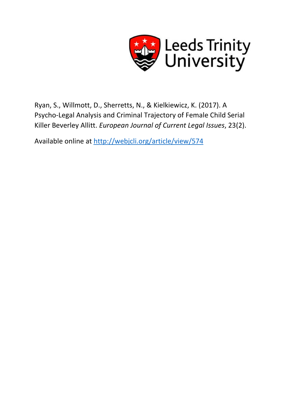

Ryan, S., Willmott, D., Sherretts, N., & Kielkiewicz, K. (2017). A Psycho-Legal Analysis and Criminal Trajectory of Female Child Serial Killer Beverley Allitt. *European Journal of Current Legal Issues*, 23(2).

Available online at<http://webjcli.org/article/view/574>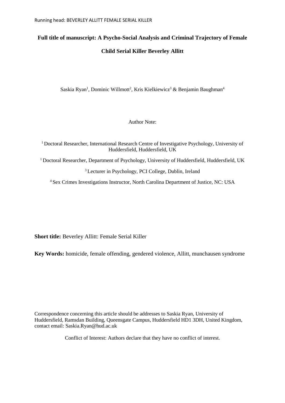# **Full title of manuscript: A Psycho-Social Analysis and Criminal Trajectory of Female**

# **Child Serial Killer Beverley Allitt**

Saskia Ryan<sup>1</sup>, Dominic Willmott<sup>2</sup>, Kris Kielkiewicz<sup>3</sup> & Benjamin Baughman<sup>4</sup>

## Author Note:

<sup>1</sup> Doctoral Researcher, International Research Centre of Investigative Psychology, University of Huddersfield, Huddersfield, UK

<sup>1</sup> Doctoral Researcher, Department of Psychology, University of Huddersfield, Huddersfield, UK

3 Lecturer in Psychology, PCI College, Dublin, Ireland

4 Sex Crimes Investigations Instructor, North Carolina Department of Justice, NC: USA

**Short title:** Beverley Allitt: Female Serial Killer

**Key Words:** homicide, female offending, gendered violence, Allitt, munchausen syndrome

Correspondence concerning this article should be addresses to Saskia Ryan, University of Huddersfield, Ramsdan Building, Queensgate Campus, Huddersfield HD1 3DH, United Kingdom, contact email: Saskia.Ryan@hud.ac.uk

Conflict of Interest: Authors declare that they have no conflict of interest.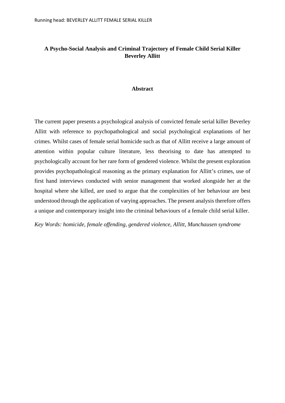# **A Psycho-Social Analysis and Criminal Trajectory of Female Child Serial Killer Beverley Allitt**

### **Abstract**

The current paper presents a psychological analysis of convicted female serial killer Beverley Allitt with reference to psychopathological and social psychological explanations of her crimes. Whilst cases of female serial homicide such as that of Allitt receive a large amount of attention within popular culture literature, less theorising to date has attempted to psychologically account for her rare form of gendered violence. Whilst the present exploration provides psychopathological reasoning as the primary explanation for Allitt's crimes, use of first hand interviews conducted with senior management that worked alongside her at the hospital where she killed, are used to argue that the complexities of her behaviour are best understood through the application of varying approaches. The present analysis therefore offers a unique and contemporary insight into the criminal behaviours of a female child serial killer.

*Key Words: homicide, female offending, gendered violence, Allitt, Munchausen syndrome*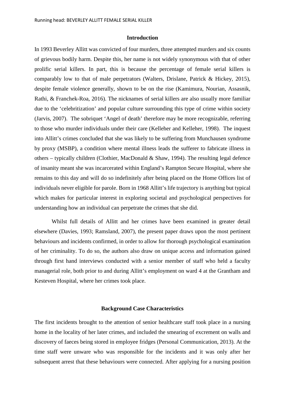#### **Introduction**

In 1993 Beverley Allitt was convicted of four murders, three attempted murders and six counts of grievous bodily harm. Despite this, her name is not widely synonymous with that of other prolific serial killers. In part, this is because the percentage of female serial killers is comparably low to that of male perpetrators (Walters, Drislane, Patrick & Hickey, 2015), despite female violence generally, shown to be on the rise (Kamimura, Nourian, Assasnik, Rathi, & Franchek-Roa, 2016). The nicknames of serial killers are also usually more familiar due to the 'celebritization' and popular culture surrounding this type of crime within society (Jarvis, 2007). The sobriquet 'Angel of death' therefore may be more recognizable, referring to those who murder individuals under their care (Kelleher and Kelleher, 1998). The inquest into Allitt's crimes concluded that she was likely to be suffering from Munchausen syndrome by proxy (MSBP), a condition where mental illness leads the sufferer to fabricate illness in others – typically children (Clothier, MacDonald & Shaw, 1994). The resulting legal defence of insanity meant she was incarcerated within England's Rampton Secure Hospital, where she remains to this day and will do so indefinitely after being placed on the Home Offices list of individuals never eligible for parole. Born in 1968 Allitt's life trajectory is anything but typical which makes for particular interest in exploring societal and psychological perspectives for understanding how an individual can perpetrate the crimes that she did.

Whilst full details of Allitt and her crimes have been examined in greater detail elsewhere (Davies, 1993; Ramsland, 2007), the present paper draws upon the most pertinent behaviours and incidents confirmed, in order to allow for thorough psychological examination of her criminality. To do so, the authors also draw on unique access and information gained through first hand interviews conducted with a senior member of staff who held a faculty managerial role, both prior to and during Allitt's employment on ward 4 at the Grantham and Kesteven Hospital, where her crimes took place.

#### **Background Case Characteristics**

The first incidents brought to the attention of senior healthcare staff took place in a nursing home in the locality of her later crimes, and included the smearing of excrement on walls and discovery of faeces being stored in employee fridges (Personal Communication, 2013). At the time staff were unware who was responsible for the incidents and it was only after her subsequent arrest that these behaviours were connected. After applying for a nursing position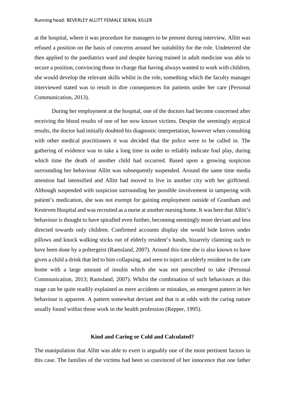at the hospital, where it was procedure for managers to be present during interview, Allitt was refused a position on the basis of concerns around her suitability for the role. Undeterred she then applied to the paediatrics ward and despite having trained in adult medicine was able to secure a position, convincing those in charge that having always wanted to work with children, she would develop the relevant skills whilst in the role, something which the faculty manager interviewed stated was to result in dire consequences for patients under her care (Personal Communication, 2013).

During her employment at the hospital, one of the doctors had become concerned after receiving the blood results of one of her now known victims. Despite the seemingly atypical results, the doctor had initially doubted his diagnostic interpretation, however when consulting with other medical practitioners it was decided that the police were to be called in. The gathering of evidence was to take a long time in order to reliably indicate foul play, during which time the death of another child had occurred. Based upon a growing suspicion surrounding her behaviour Allitt was subsequently suspended. Around the same time media attention had intensified and Allitt had moved to live in another city with her girlfriend. Although suspended with suspicion surrounding her possible involvement in tampering with patient's medication, she was not exempt for gaining employment outside of Grantham and Kesteven Hospital and was recruited as a nurse at another nursing home. It was here that Allitt's behaviour is thought to have spiralled even further, becoming seemingly more deviant and less directed towards only children. Confirmed accounts display she would hide knives under pillows and knock walking sticks out of elderly resident's hands, bizarrely claiming such to have been done by a poltergeist (Ramsland, 2007). Around this time she is also known to have given a child a drink that led to him collapsing, and seen to inject an elderly resident in the care home with a large amount of insulin which she was not prescribed to take (Personal Communication, 2013; Ramsland, 2007). Whilst the combination of such behaviours at this stage can be quite readily explained as mere accidents or mistakes, an emergent pattern in her behaviour is apparent. A pattern somewhat deviant and that is at odds with the caring nature usually found within those work in the health profession (Repper, 1995).

#### **Kind and Caring or Cold and Calculated?**

The manipulation that Allitt was able to exert is arguably one of the most pertinent factors in this case. The families of the victims had been so convinced of her innocence that one father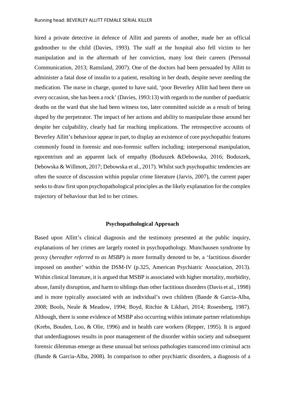hired a private detective in defence of Allitt and parents of another, made her an official godmother to the child (Davies, 1993). The staff at the hospital also fell victim to her manipulation and in the aftermath of her conviction, many lost their careers (Personal Communication, 2013; Ramsland, 2007). One of the doctors had been persuaded by Allitt to administer a fatal dose of insulin to a patient, resulting in her death, despite never needing the medication. The nurse in charge, quoted to have said, 'poor Beverley Allitt had been there on every occasion, she has been a rock' (Davies, 1993:13) with regards to the number of paediatric deaths on the ward that she had been witness too, later committed suicide as a result of being duped by the perpetrator. The impact of her actions and ability to manipulate those around her despite her culpability, clearly had far reaching implications. The retrospective accounts of Beverley Allitt's behaviour appear in part, to display an existence of core psychopathic features commonly found in forensic and non-forensic suffers including; interpersonal manipulation, egocentrism and an apparent lack of empathy (Boduszek &Debowska, 2016; Boduszek, Debowska & Willmott, 2017; Debowska et al., 2017). Whilst such psychopathic tendencies are often the source of discussion within popular crime literature (Jarvis, 2007), the current paper seeks to draw first upon psychopathological principles as the likely explanation for the complex trajectory of behaviour that led to her crimes.

## **Psychopathological Approach**

Based upon Allitt's clinical diagnosis and the testimony presented at the public inquiry, explanations of her crimes are largely rooted in psychopathology. Munchausen syndrome by proxy (*hereafter referred to as MSBP*) is more formally denoted to be, a 'factitious disorder imposed on another' within the DSM-IV (p.325, American Psychiatric Association, 2013). Within clinical literature, it is argued that MSBP is associated with higher mortality, morbidity, abuse, family disruption, and harm to siblings than other factitious disorders (Davis et al., 1998) and is more typically associated with an individual's own children (Bande & Garcia-Alba, 2008; Bools, Neale & Meadow, 1994; Boyd, Ritchie & Likhari, 2014; Rosenberg, 1987). Although, there is some evidence of MSBP also occurring within intimate partner relationships (Krebs, Bouden, Loo, & Olie, 1996) and in health care workers (Repper, 1995). It is argued that underdiagnoses results in poor management of the disorder within society and subsequent forensic dilemmas emerge as these unusual but serious pathologies transcend into criminal acts (Bande & Garcia-Alba, 2008). In comparison to other psychiatric disorders, a diagnosis of a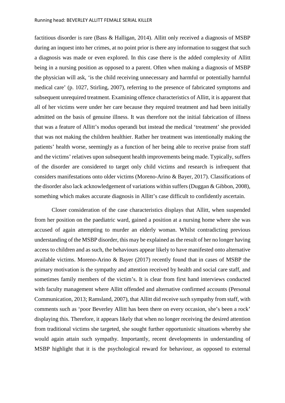factitious disorder is rare (Bass & Halligan, 2014). Allitt only received a diagnosis of MSBP during an inquest into her crimes, at no point prior is there any information to suggest that such a diagnosis was made or even explored. In this case there is the added complexity of Allitt being in a nursing position as opposed to a parent. Often when making a diagnosis of MSBP the physician will ask, 'is the child receiving unnecessary and harmful or potentially harmful medical care' (p. 1027, Stirling, 2007), referring to the presence of fabricated symptoms and subsequent unrequired treatment. Examining offence characteristics of Allitt, it is apparent that all of her victims were under her care because they required treatment and had been initially admitted on the basis of genuine illness. It was therefore not the initial fabrication of illness that was a feature of Allitt's modus operandi but instead the medical 'treatment' she provided that was not making the children healthier. Rather her treatment was intentionally making the patients' health worse, seemingly as a function of her being able to receive praise from staff and the victims' relatives upon subsequent health improvements being made. Typically, suffers of the disorder are considered to target only child victims and research is infrequent that considers manifestations onto older victims (Moreno-Arino & Bayer, 2017). Classifications of the disorder also lack acknowledgement of variations within suffers (Duggan & Gibbon, 2008), something which makes accurate diagnosis in Allitt's case difficult to confidently ascertain.

Closer consideration of the case characteristics displays that Allitt, when suspended from her position on the paediatric ward, gained a position at a nursing home where she was accused of again attempting to murder an elderly woman. Whilst contradicting previous understanding of the MSBP disorder, this may be explained as the result of her no longer having access to children and as such, the behaviours appear likely to have manifested onto alternative available victims. Moreno-Arino & Bayer (2017) recently found that in cases of MSBP the primary motivation is the sympathy and attention received by health and social care staff, and sometimes family members of the victim's. It is clear from first hand interviews conducted with faculty management where Allitt offended and alternative confirmed accounts (Personal Communication, 2013; Ramsland, 2007), that Allitt did receive such sympathy from staff, with comments such as 'poor Beverley Allitt has been there on every occasion, she's been a rock' displaying this. Therefore, it appears likely that when no longer receiving the desired attention from traditional victims she targeted, she sought further opportunistic situations whereby she would again attain such sympathy. Importantly, recent developments in understanding of MSBP highlight that it is the psychological reward for behaviour, as opposed to external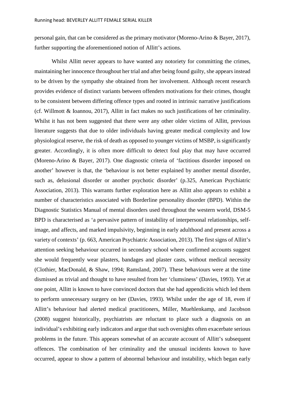personal gain, that can be considered as the primary motivator (Moreno-Arino & Bayer, 2017), further supporting the aforementioned notion of Allitt's actions.

Whilst Allitt never appears to have wanted any notoriety for committing the crimes, maintaining her innocence throughout her trial and after being found guilty, she appears instead to be driven by the sympathy she obtained from her involvement. Although recent research provides evidence of distinct variants between offenders motivations for their crimes, thought to be consistent between differing offence types and rooted in intrinsic narrative justifications (cf. Willmott & Ioannou, 2017), Allitt in fact makes no such justifications of her criminality. Whilst it has not been suggested that there were any other older victims of Allitt, previous literature suggests that due to older individuals having greater medical complexity and low physiological reserve, the risk of death as opposed to younger victims of MSBP, is significantly greater. Accordingly, it is often more difficult to detect foul play that may have occurred (Moreno-Arino & Bayer, 2017). One diagnostic criteria of 'factitious disorder imposed on another' however is that, the 'behaviour is not better explained by another mental disorder, such as, delusional disorder or another psychotic disorder' (p.325, American Psychiatric Association, 2013). This warrants further exploration here as Allitt also appears to exhibit a number of characteristics associated with Borderline personality disorder (BPD). Within the Diagnostic Statistics Manual of mental disorders used throughout the western world, DSM-5 BPD is characterised as 'a pervasive pattern of instability of interpersonal relationships, selfimage, and affects, and marked impulsivity, beginning in early adulthood and present across a variety of contexts' (p. 663, American Psychiatric Association, 2013). The first signs of Allitt's attention seeking behaviour occurred in secondary school where confirmed accounts suggest she would frequently wear plasters, bandages and plaster casts, without medical necessity (Clothier, MacDonald, & Shaw, 1994; Ramsland, 2007). These behaviours were at the time dismissed as trivial and thought to have resulted from her 'clumsiness' (Davies, 1993). Yet at one point, Allitt is known to have convinced doctors that she had appendicitis which led them to perform unnecessary surgery on her (Davies, 1993). Whilst under the age of 18, even if Allitt's behaviour had alerted medical practitioners, Miller, Muehlenkamp, and Jacobson (2008) suggest historically, psychiatrists are reluctant to place such a diagnosis on an individual's exhibiting early indicators and argue that such oversights often exacerbate serious problems in the future. This appears somewhat of an accurate account of Allitt's subsequent offences. The combination of her criminality and the unusual incidents known to have occurred, appear to show a pattern of abnormal behaviour and instability, which began early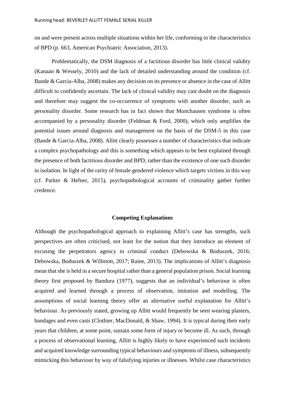on and were present across multiple situations within her life, conforming to the characteristics of BPD (p. 663, American Psychiatric Association, 2013).

Problematically, the DSM diagnosis of a factitious disorder has little clinical validity (Kanaan & Wessely, 2010) and the lack of detailed understanding around the condition (cf. Bande & Garcia-Alba, 2008) makes any decision on its presence or absence in the case of Allitt difficult to confidently ascertain. The lack of clinical validity may cast doubt on the diagnosis and therefore may suggest the co-occurrence of symptoms with another disorder, such as personality disorder. Some research has in fact shown that Munchausen syndrome is often accompanied by a personality disorder (Feldman & Ford, 2000), which only amplifies the potential issues around diagnosis and management on the basis of the DSM-5 in this case (Bande & Garcia-Alba, 2008). Allitt clearly possesses a number of characteristics that indicate a complex psychopathology and this is something which appears to be best explained through the presence of both factitious disorder and BPD, rather than the existence of one such disorder in isolation. In light of the rarity of female gendered violence which targets victims in this way (cf. Parker & Hefner, 2015), psychopathological accounts of criminality gather further credence.

# **Competing Explanations**

Although the psychopathological approach to explaining Allitt's case has strengths, such perspectives are often criticised, not least for the notion that they introduce an element of excusing the perpetrators agency in criminal conduct (Debowska & Boduszek, 2016; Debowska, Boduszek & Willmott, 2017; Raine, 2013). The implications of Allitt's diagnosis mean that she is held in a secure hospital rather than a general population prison. Social learning theory first proposed by Bandura (1977), suggests that an individual's behaviour is often acquired and learned through a process of observation, imitation and modelling. The assumptions of social learning theory offer an alternative useful explanation for Allitt's behaviour. As previously stated, growing up Allitt would frequently be seen wearing plasters, bandages and even casts (Clothier, MacDonald, & Shaw, 1994). It is typical during their early years that children, at some point, sustain some form of injury or become ill. As such, through a process of observational learning, Allitt is highly likely to have experienced such incidents and acquired knowledge surrounding typical behaviours and symptoms of illness, subsequently mimicking this behaviour by way of falsifying injuries or illnesses. Whilst case characteristics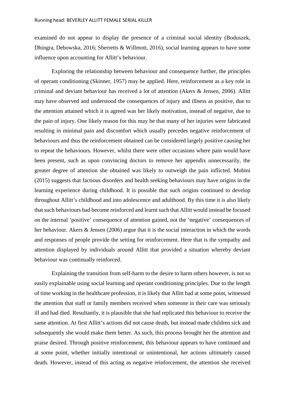examined do not appear to display the presence of a criminal social identity (Boduszek, Dhingra, Debowska, 2016; Sherretts & Willmott, 2016), social learning appears to have some influence upon accounting for Allitt's behaviour.

Exploring the relationship between behaviour and consequence further, the principles of operant conditioning (Skinner, 1957) may be applied. Here, reinforcement as a key role in criminal and deviant behaviour has received a lot of attention (Akers & Jensen, 2006). Allitt may have observed and understood the consequences of injury and illness as positive, due to the attention attained which it is agreed was her likely motivation, instead of negative, due to the pain of injury. One likely reason for this may be that many of her injuries were fabricated resulting in minimal pain and discomfort which usually precedes negative reinforcement of behaviours and thus the reinforcement obtained can be considered largely positive causing her to repeat the behaviours. However, whilst there were other occasions where pain would have been present, such as upon convincing doctors to remove her appendix unnecessarily, the greater degree of attention she obtained was likely to outweigh the pain inflicted. Mobini (2015) suggests that factious disorders and health seeking behaviours may have origins in the learning experience during childhood. It is possible that such origins continued to develop throughout Allitt's childhood and into adolescence and adulthood. By this time it is also likely that such behaviours had become reinforced and learnt such that Allitt would instead be focused on the internal 'positive' consequence of attention gained, not the 'negative' consequences of her behaviour. Akers & Jensen (2006) argue that it is the social interaction in which the words and responses of people provide the setting for reinforcement. Here that is the sympathy and attention displayed by individuals around Allitt that provided a situation whereby deviant behaviour was continually reinforced.

Explaining the transition from self-harm to the desire to harm others however, is not so easily explainable using social learning and operant conditioning principles. Due to the length of time working in the healthcare profession, it is likely that Allitt had at some point, witnessed the attention that staff or family members received when someone in their care was seriously ill and had died. Resultantly, it is plausible that she had replicated this behaviour to receive the same attention. At first Allitt's actions did not cause death, but instead made children sick and subsequently she would make them better. As such, this process brought her the attention and praise desired. Through positive reinforcement, this behaviour appears to have continued and at some point, whether initially intentional or unintentional, her actions ultimately caused death. However, instead of this acting as negative reinforcement, the attention she received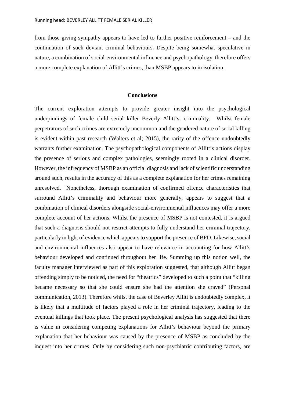from those giving sympathy appears to have led to further positive reinforcement – and the continuation of such deviant criminal behaviours. Despite being somewhat speculative in nature, a combination of social-environmental influence and psychopathology, therefore offers a more complete explanation of Allitt's crimes, than MSBP appears to in isolation.

#### **Conclusions**

The current exploration attempts to provide greater insight into the psychological underpinnings of female child serial killer Beverly Allitt's, criminality. Whilst female perpetrators of such crimes are extremely uncommon and the gendered nature of serial killing is evident within past research (Walters et al; 2015), the rarity of the offence undoubtedly warrants further examination. The psychopathological components of Allitt's actions display the presence of serious and complex pathologies, seemingly rooted in a clinical disorder. However, the infrequency of MSBP as an official diagnosis and lack of scientific understanding around such, results in the accuracy of this as a complete explanation for her crimes remaining unresolved. Nonetheless, thorough examination of confirmed offence characteristics that surround Allitt's criminality and behaviour more generally, appears to suggest that a combination of clinical disorders alongside social-environmental influences may offer a more complete account of her actions. Whilst the presence of MSBP is not contested, it is argued that such a diagnosis should not restrict attempts to fully understand her criminal trajectory, particularly in light of evidence which appears to support the presence of BPD. Likewise, social and environmental influences also appear to have relevance in accounting for how Allitt's behaviour developed and continued throughout her life. Summing up this notion well, the faculty manager interviewed as part of this exploration suggested, that although Allitt began offending simply to be noticed, the need for "theatrics" developed to such a point that "killing became necessary so that she could ensure she had the attention she craved" (Personal communication, 2013). Therefore whilst the case of Beverley Allitt is undoubtedly complex, it is likely that a multitude of factors played a role in her criminal trajectory, leading to the eventual killings that took place. The present psychological analysis has suggested that there is value in considering competing explanations for Allitt's behaviour beyond the primary explanation that her behaviour was caused by the presence of MSBP as concluded by the inquest into her crimes. Only by considering such non-psychiatric contributing factors, are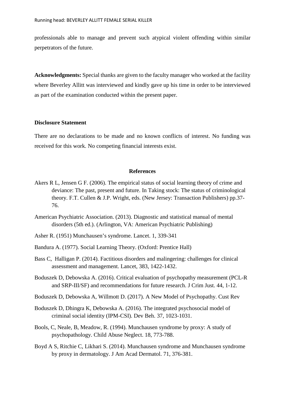professionals able to manage and prevent such atypical violent offending within similar perpetrators of the future.

**Acknowledgments:** Special thanks are given to the faculty manager who worked at the facility where Beverley Allitt was interviewed and kindly gave up his time in order to be interviewed as part of the examination conducted within the present paper.

#### **Disclosure Statement**

There are no declarations to be made and no known conflicts of interest. No funding was received for this work. No competing financial interests exist.

#### **References**

- Akers R L, Jensen G F. (2006). The empirical status of social learning theory of crime and deviance: The past, present and future. In Taking stock: The status of criminological theory. F.T. Cullen & J.P. Wright, eds. (New Jersey: Transaction Publishers) pp.37- 76.
- American Psychiatric Association. (2013). Diagnostic and statistical manual of mental disorders (5th ed.). (Arlington, VA: American Psychiatric Publishing)
- Asher R. (1951) Munchausen's syndrome. Lancet. 1, 339-341
- Bandura A. (1977). Social Learning Theory. (Oxford: Prentice Hall)
- Bass C, Halligan P. (2014). Factitious disorders and malingering: challenges for clinical assessment and management. Lancet, 383, 1422-1432.
- Boduszek D, Debowska A. (2016). Critical evaluation of psychopathy measurement (PCL-R and SRP-III/SF) and recommendations for future research. J Crim Just. 44, 1-12.
- Boduszek D, Debowska A, Willmott D. (2017). A New Model of Psychopathy. Cust Rev
- Boduszek D, Dhingra K, Debowska A. (2016). The integrated psychosocial model of criminal social identity (IPM-CSI). Dev Beh. 37, 1023-1031.
- Bools, C, Neale, B, Meadow, R. (1994). Munchausen syndrome by proxy: A study of psychopathology. Child Abuse Neglect. 18, 773-788.
- Boyd A S, Ritchie C, Likhari S. (2014). Munchausen syndrome and Munchausen syndrome by proxy in dermatology. J Am Acad Dermatol. 71, 376-381.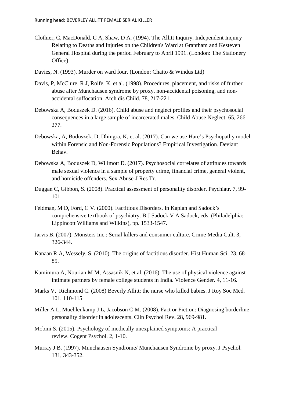- Clothier, C, MacDonald, C A, Shaw, D A. (1994). The Allitt Inquiry. Independent Inquiry Relating to Deaths and Injuries on the Children's Ward at Grantham and Kesteven General Hospital during the period February to April 1991. (London: The Stationery Office)
- Davies, N. (1993). Murder on ward four. (London: Chatto & Windus Ltd)
- Davis, P, McClure, R J, Rolfe, K, et al. (1998). Procedures, placement, and risks of further abuse after Munchausen syndrome by proxy, non-accidental poisoning, and nonaccidental suffocation. Arch dis Child. 78, 217-221.
- Debowska A, Boduszek D. (2016). Child abuse and neglect profiles and their psychosocial consequences in a large sample of incarcerated males. Child Abuse Neglect. 65, 266- 277.
- Debowska, A, Boduszek, D, Dhingra, K, et al. (2017). Can we use Hare's Psychopathy model within Forensic and Non-Forensic Populations? Empirical Investigation. Deviant Behav.
- Debowska A, Boduszek D, Willmott D. (2017). Psychosocial correlates of attitudes towards male sexual violence in a sample of property crime, financial crime, general violent, and homicide offenders. Sex Abuse-J Res Tr.
- Duggan C, Gibbon, S. (2008). Practical assessment of personality disorder. Psychiatr. 7, 99- 101.
- Feldman, M D, Ford, C V. (2000). Factitious Disorders. In Kaplan and Sadock's comprehensive textbook of psychiatry. B J Sadock V A Sadock, eds. (Philadelphia: Lippincott Williams and Wilkins), pp. 1533-1547.
- Jarvis B. (2007). Monsters Inc.: Serial killers and consumer culture. Crime Media Cult. 3, 326-344.
- Kanaan R A, Wessely, S. (2010). The origins of factitious disorder. Hist Human Sci. 23, 68- 85.
- Kamimura A, Nourian M M, Assasnik N, et al. (2016). The use of physical violence against intimate partners by female college students in India. Violence Gender. 4, 11-16.
- Marks V, Richmond C. (2008) Beverly Allitt: the nurse who killed babies. J Roy Soc Med. 101, 110-115
- Miller A L, Muehlenkamp J L, Jacobson C M. (2008). Fact or Fiction: Diagnosing borderline personality disorder in adolescents. Clin Psychol Rev. 28, 969-981.
- Mobini S. (2015). Psychology of medically unexplained symptoms: A practical review. Cogent Psychol. 2, 1-10.
- Murray J B. (1997). Munchausen Syndrome/ Munchausen Syndrome by proxy. J Psychol. 131, 343-352.